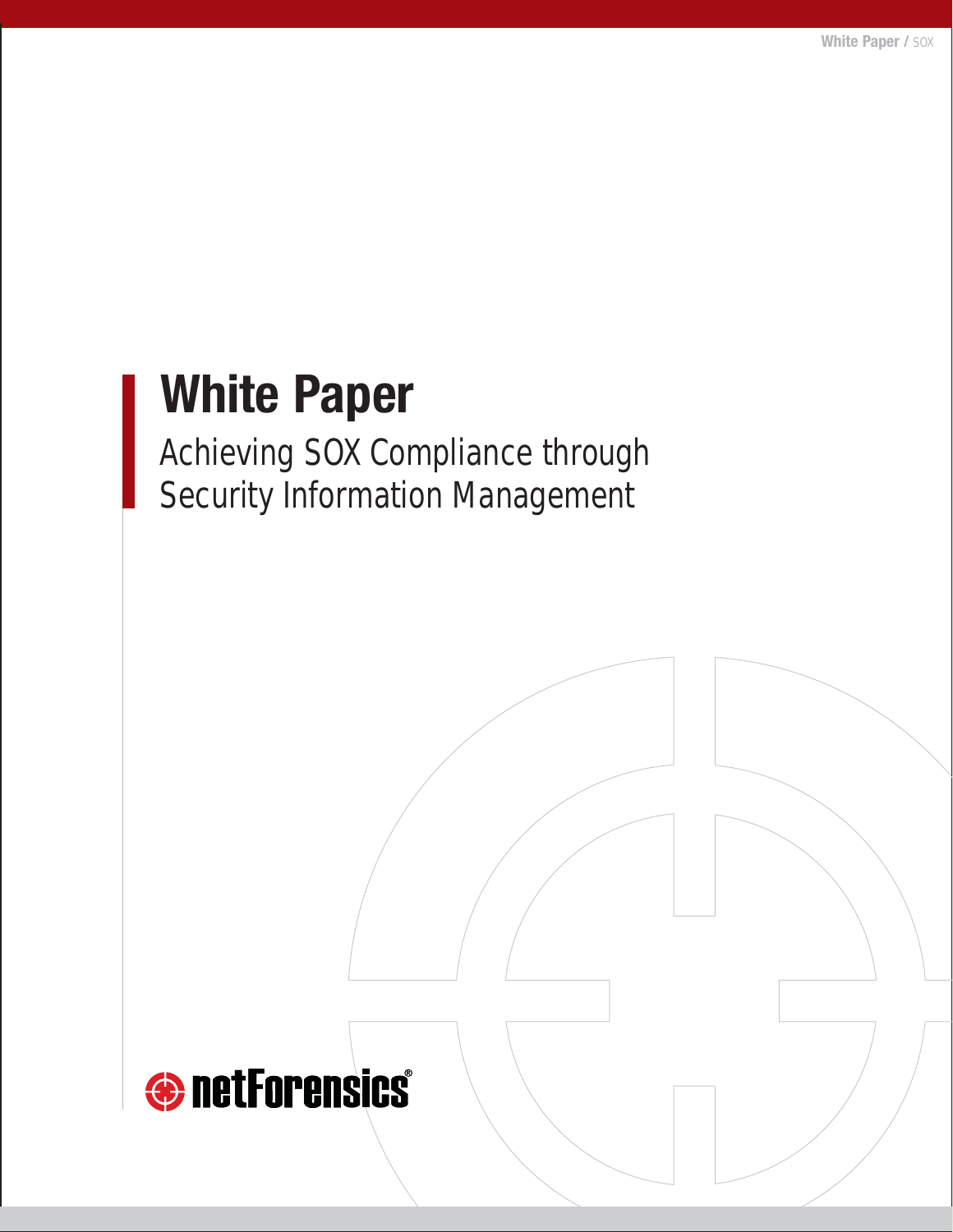# **White Paper**

Achieving SOX Compliance through Security Information Management

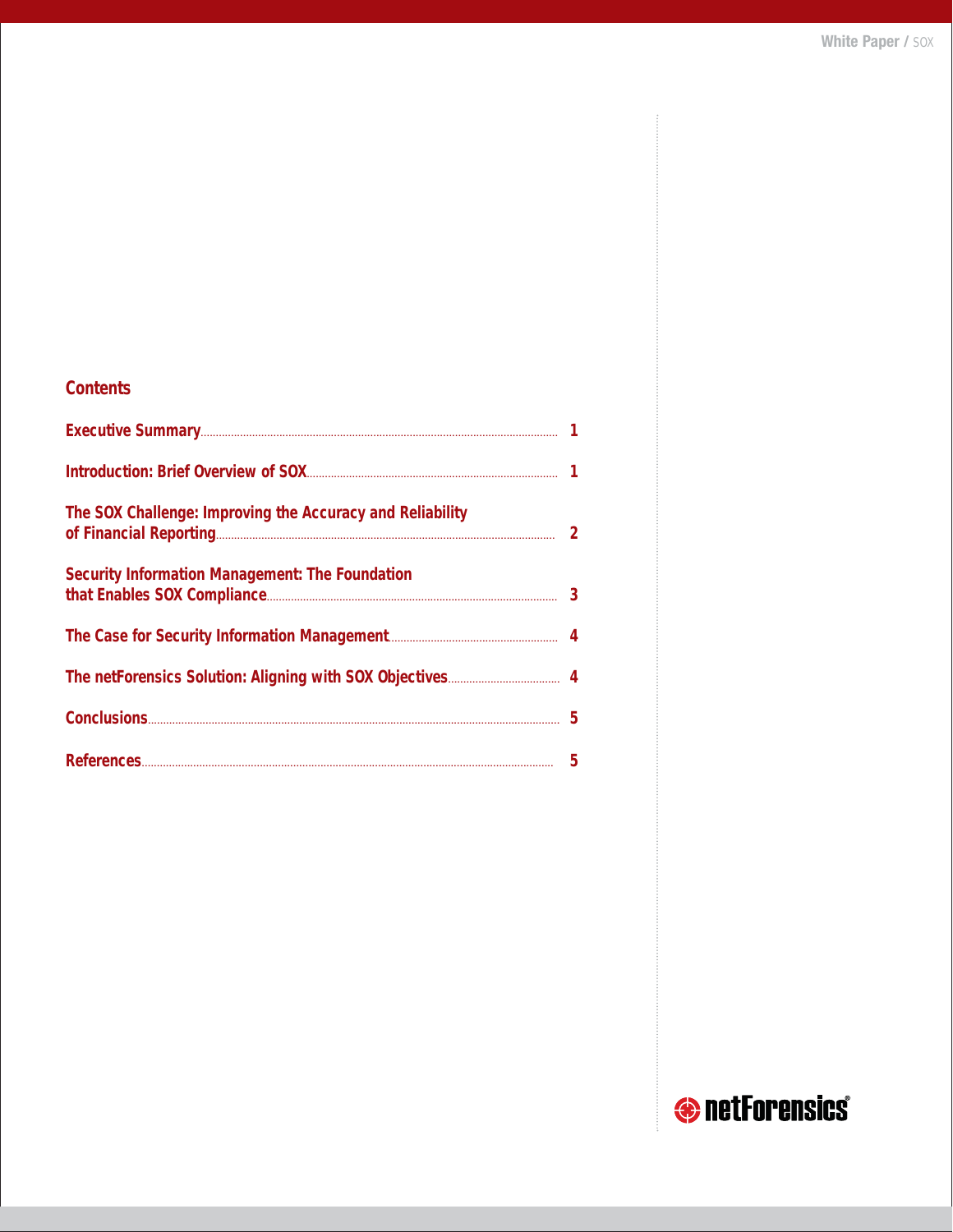| <b>Contents</b>                                           |  |
|-----------------------------------------------------------|--|
|                                                           |  |
|                                                           |  |
| The SOX Challenge: Improving the Accuracy and Reliability |  |
| Security Information Management: The Foundation           |  |
|                                                           |  |
|                                                           |  |
|                                                           |  |
|                                                           |  |

# **O** netForensics®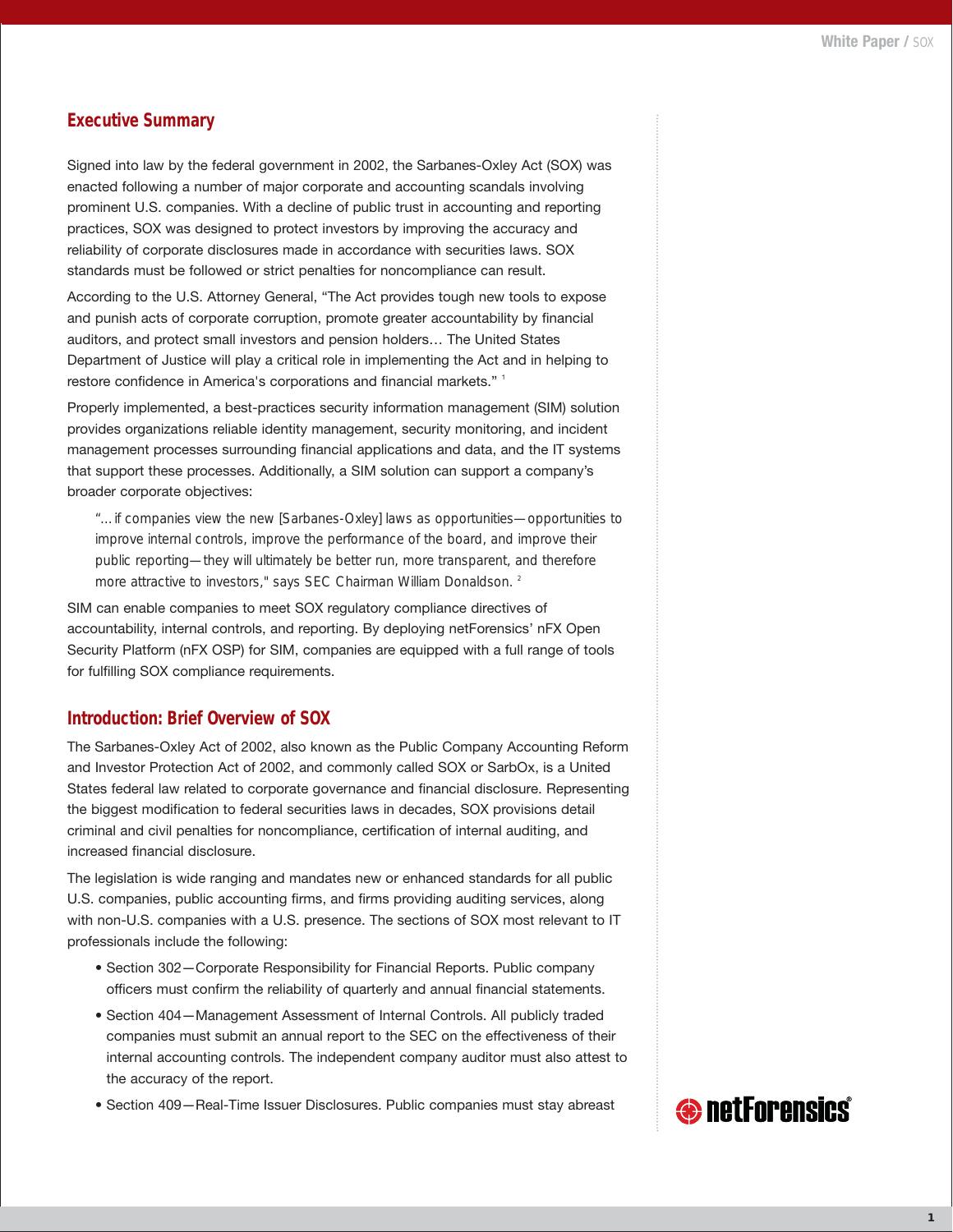#### **Executive Summary**

Signed into law by the federal government in 2002, the Sarbanes-Oxley Act (SOX) was enacted following a number of major corporate and accounting scandals involving prominent U.S. companies. With a decline of public trust in accounting and reporting practices, SOX was designed to protect investors by improving the accuracy and reliability of corporate disclosures made in accordance with securities laws. SOX standards must be followed or strict penalties for noncompliance can result.

According to the U.S. Attorney General, "The Act provides tough new tools to expose and punish acts of corporate corruption, promote greater accountability by financial auditors, and protect small investors and pension holders… The United States Department of Justice will play a critical role in implementing the Act and in helping to restore confidence in America's corporations and financial markets."<sup>1</sup>

Properly implemented, a best-practices security information management (SIM) solution provides organizations reliable identity management, security monitoring, and incident management processes surrounding financial applications and data, and the IT systems that support these processes. Additionally, a SIM solution can support a company's broader corporate objectives:

*"…if companies view the new [Sarbanes-Oxley] laws as opportunities—opportunities to improve internal controls, improve the performance of the board, and improve their public reporting—they will ultimately be better run, more transparent, and therefore more attractive to investors," says SEC Chairman William Donaldson. 2*

SIM can enable companies to meet SOX regulatory compliance directives of accountability, internal controls, and reporting. By deploying netForensics' nFX Open Security Platform (nFX OSP) for SIM, companies are equipped with a full range of tools for fulfilling SOX compliance requirements.

#### **Introduction: Brief Overview of SOX**

The Sarbanes-Oxley Act of 2002, also known as the Public Company Accounting Reform and Investor Protection Act of 2002, and commonly called SOX or SarbOx, is a United States federal law related to corporate governance and financial disclosure. Representing the biggest modification to federal securities laws in decades, SOX provisions detail criminal and civil penalties for noncompliance, certification of internal auditing, and increased financial disclosure.

The legislation is wide ranging and mandates new or enhanced standards for all public U.S. companies, public accounting firms, and firms providing auditing services, along with non-U.S. companies with a U.S. presence. The sections of SOX most relevant to IT professionals include the following:

- Section 302—Corporate Responsibility for Financial Reports. Public company officers must confirm the reliability of quarterly and annual financial statements.
- Section 404—Management Assessment of Internal Controls. All publicly traded companies must submit an annual report to the SEC on the effectiveness of their internal accounting controls. The independent company auditor must also attest to the accuracy of the report.
- Section 409—Real-Time Issuer Disclosures. Public companies must stay abreast

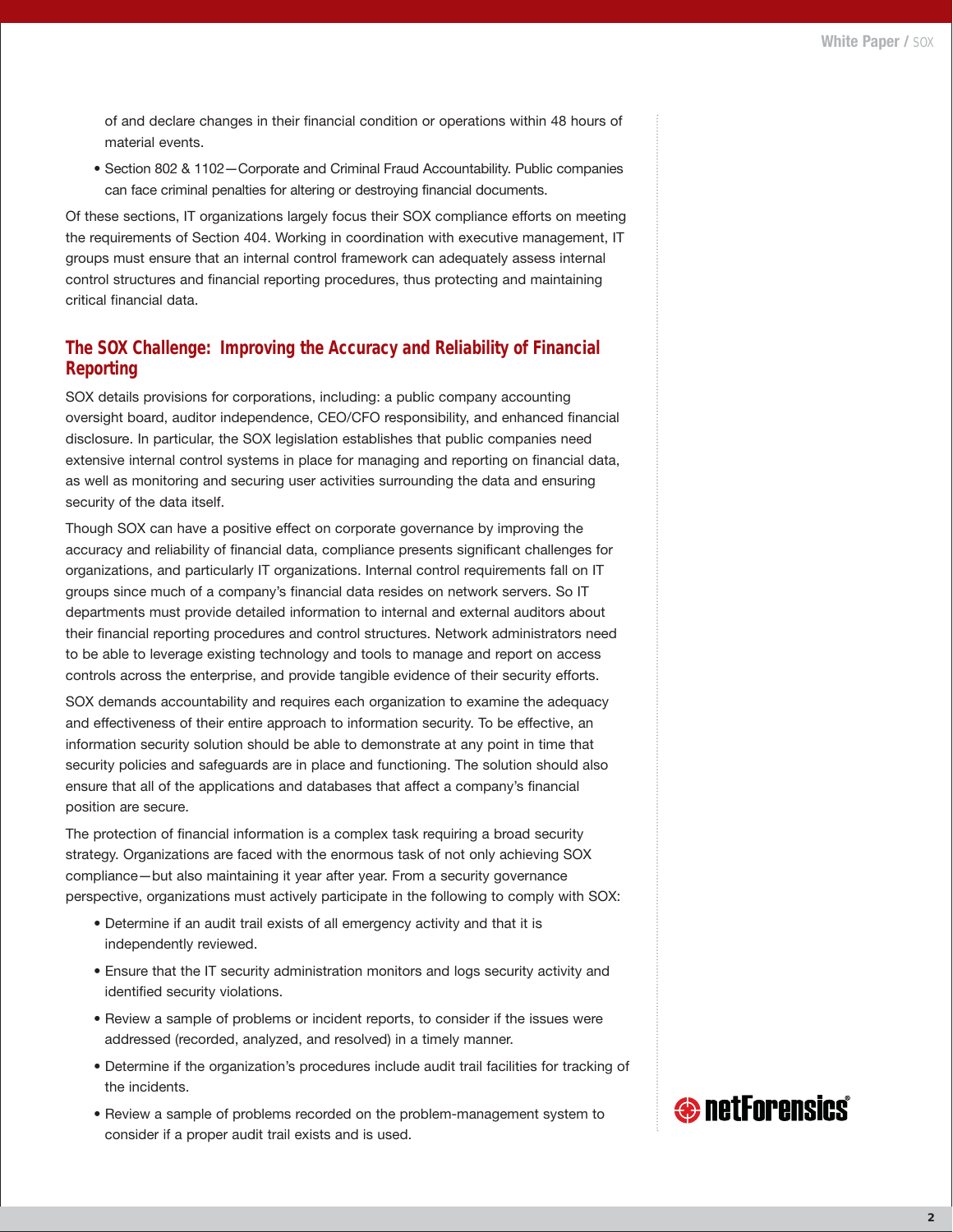of and declare changes in their financial condition or operations within 48 hours of material events.

• Section 802 & 1102—Corporate and Criminal Fraud Accountability. Public companies can face criminal penalties for altering or destroying financial documents.

Of these sections, IT organizations largely focus their SOX compliance efforts on meeting the requirements of Section 404. Working in coordination with executive management, IT groups must ensure that an internal control framework can adequately assess internal control structures and financial reporting procedures, thus protecting and maintaining critical financial data.

#### **The SOX Challenge: Improving the Accuracy and Reliability of Financial Reporting**

SOX details provisions for corporations, including: a public company accounting oversight board, auditor independence, CEO/CFO responsibility, and enhanced financial disclosure. In particular, the SOX legislation establishes that public companies need extensive internal control systems in place for managing and reporting on financial data, as well as monitoring and securing user activities surrounding the data and ensuring security of the data itself.

Though SOX can have a positive effect on corporate governance by improving the accuracy and reliability of financial data, compliance presents significant challenges for organizations, and particularly IT organizations. Internal control requirements fall on IT groups since much of a company's financial data resides on network servers. So IT departments must provide detailed information to internal and external auditors about their financial reporting procedures and control structures. Network administrators need to be able to leverage existing technology and tools to manage and report on access controls across the enterprise, and provide tangible evidence of their security efforts.

SOX demands accountability and requires each organization to examine the adequacy and effectiveness of their entire approach to information security. To be effective, an information security solution should be able to demonstrate at any point in time that security policies and safeguards are in place and functioning. The solution should also ensure that all of the applications and databases that affect a company's financial position are secure.

The protection of financial information is a complex task requiring a broad security strategy. Organizations are faced with the enormous task of not only achieving SOX compliance—but also maintaining it year after year. From a security governance perspective, organizations must actively participate in the following to comply with SOX:

- Determine if an audit trail exists of all emergency activity and that it is independently reviewed.
- Ensure that the IT security administration monitors and logs security activity and identified security violations.
- Review a sample of problems or incident reports, to consider if the issues were addressed (recorded, analyzed, and resolved) in a timely manner.
- Determine if the organization's procedures include audit trail facilities for tracking of the incidents.
- Review a sample of problems recorded on the problem-management system to consider if a proper audit trail exists and is used.

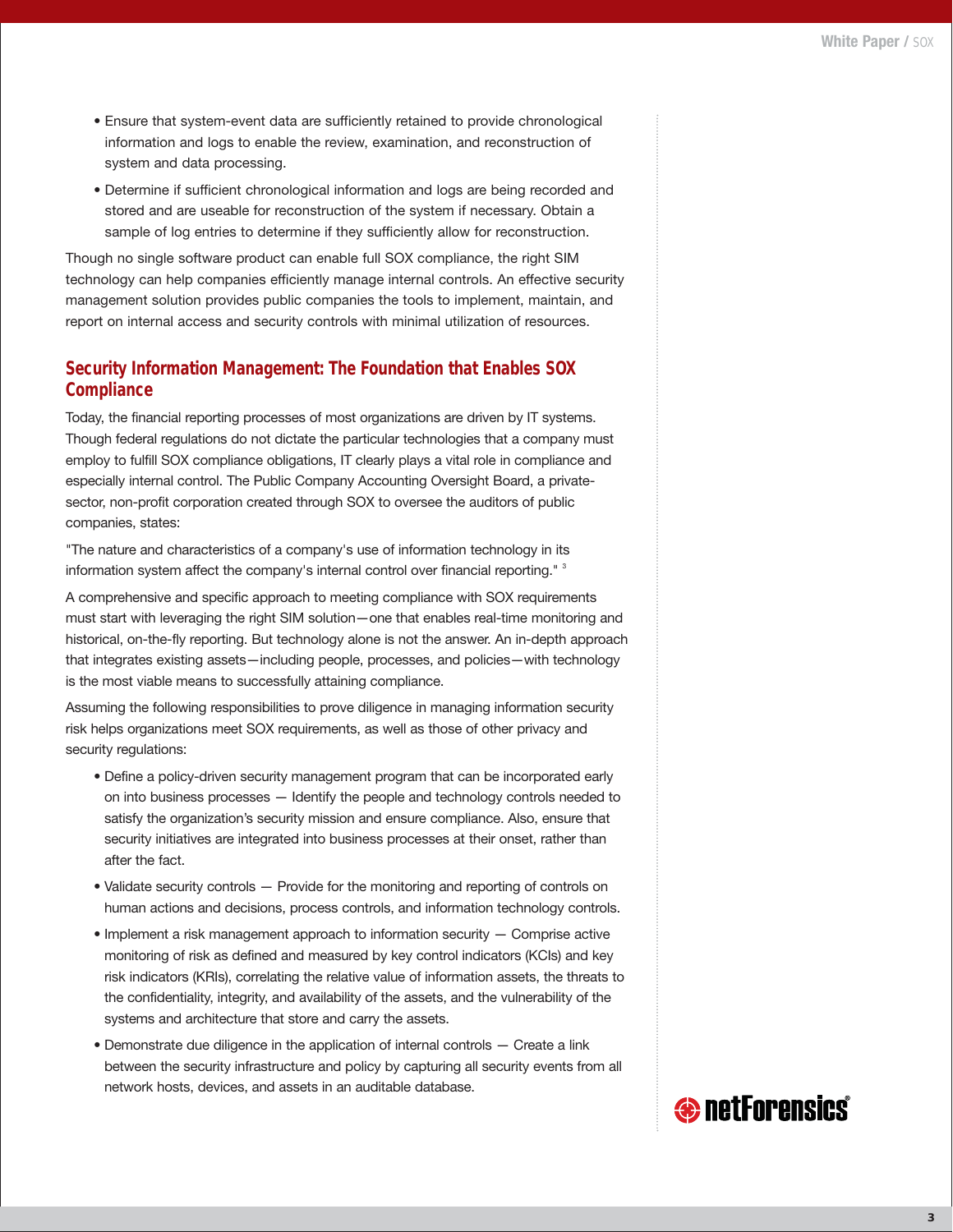- Ensure that system-event data are sufficiently retained to provide chronological information and logs to enable the review, examination, and reconstruction of system and data processing.
- Determine if sufficient chronological information and logs are being recorded and stored and are useable for reconstruction of the system if necessary. Obtain a sample of log entries to determine if they sufficiently allow for reconstruction.

Though no single software product can enable full SOX compliance, the right SIM technology can help companies efficiently manage internal controls. An effective security management solution provides public companies the tools to implement, maintain, and report on internal access and security controls with minimal utilization of resources.

# **Security Information Management: The Foundation that Enables SOX Compliance**

Today, the financial reporting processes of most organizations are driven by IT systems. Though federal regulations do not dictate the particular technologies that a company must employ to fulfill SOX compliance obligations, IT clearly plays a vital role in compliance and especially internal control. The Public Company Accounting Oversight Board, a privatesector, non-profit corporation created through SOX to oversee the auditors of public companies, states:

"The nature and characteristics of a company's use of information technology in its information system affect the company's internal control over financial reporting." <sup>3</sup>

A comprehensive and specific approach to meeting compliance with SOX requirements must start with leveraging the right SIM solution—one that enables real-time monitoring and historical, on-the-fly reporting. But technology alone is not the answer. An in-depth approach that integrates existing assets—including people, processes, and policies—with technology is the most viable means to successfully attaining compliance.

Assuming the following responsibilities to prove diligence in managing information security risk helps organizations meet SOX requirements, as well as those of other privacy and security regulations:

- Define a policy-driven security management program that can be incorporated early on into business processes — Identify the people and technology controls needed to satisfy the organization's security mission and ensure compliance. Also, ensure that security initiatives are integrated into business processes at their onset, rather than after the fact.
- Validate security controls Provide for the monitoring and reporting of controls on human actions and decisions, process controls, and information technology controls.
- Implement a risk management approach to information security Comprise active monitoring of risk as defined and measured by key control indicators (KCIs) and key risk indicators (KRIs), correlating the relative value of information assets, the threats to the confidentiality, integrity, and availability of the assets, and the vulnerability of the systems and architecture that store and carry the assets.
- Demonstrate due diligence in the application of internal controls Create a link between the security infrastructure and policy by capturing all security events from all network hosts, devices, and assets in an auditable database.

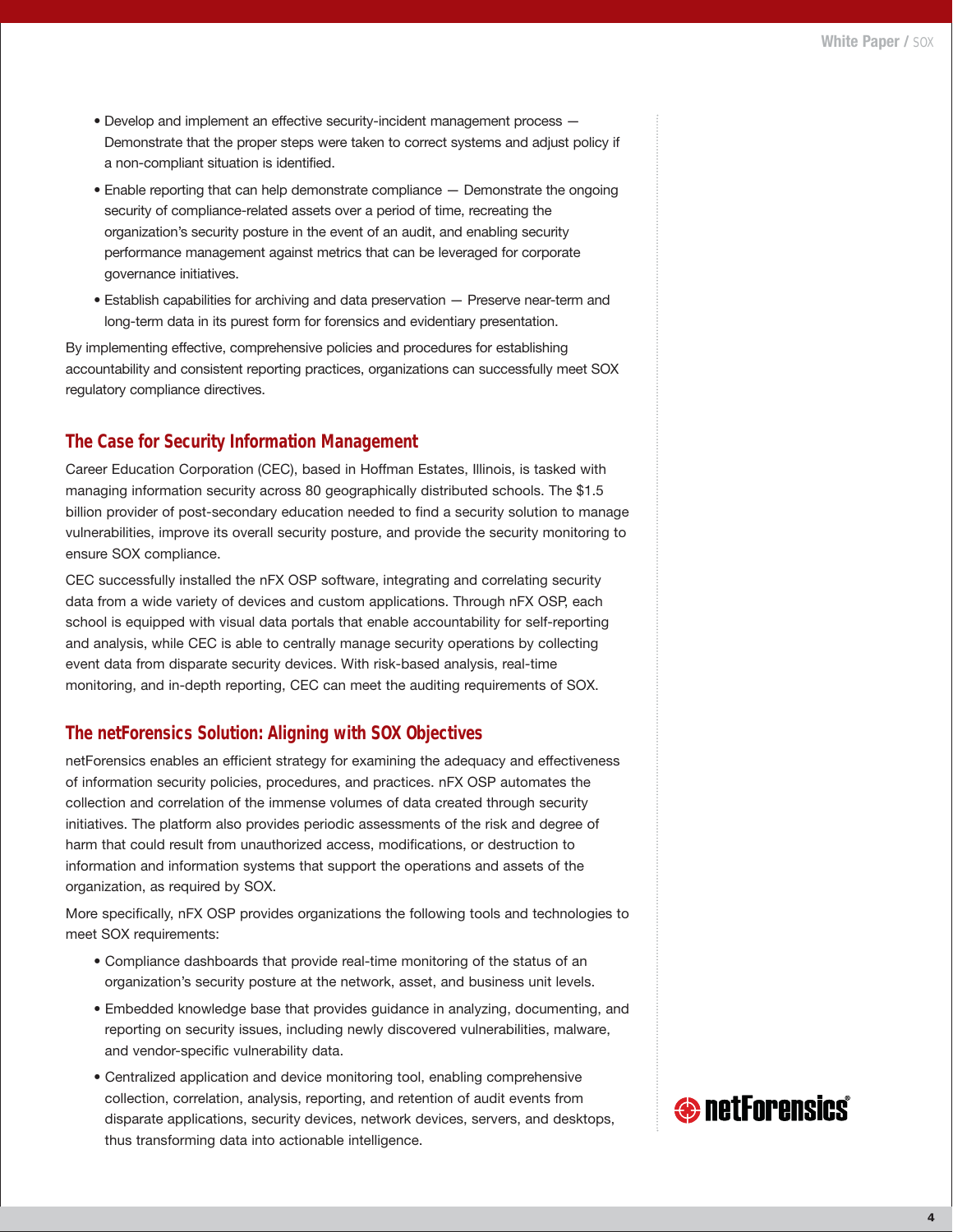- Develop and implement an effective security-incident management process Demonstrate that the proper steps were taken to correct systems and adjust policy if a non-compliant situation is identified.
- Enable reporting that can help demonstrate compliance Demonstrate the ongoing security of compliance-related assets over a period of time, recreating the organization's security posture in the event of an audit, and enabling security performance management against metrics that can be leveraged for corporate governance initiatives.
- Establish capabilities for archiving and data preservation Preserve near-term and long-term data in its purest form for forensics and evidentiary presentation.

By implementing effective, comprehensive policies and procedures for establishing accountability and consistent reporting practices, organizations can successfully meet SOX regulatory compliance directives.

# **The Case for Security Information Management**

Career Education Corporation (CEC), based in Hoffman Estates, Illinois, is tasked with managing information security across 80 geographically distributed schools. The \$1.5 billion provider of post-secondary education needed to find a security solution to manage vulnerabilities, improve its overall security posture, and provide the security monitoring to ensure SOX compliance.

CEC successfully installed the nFX OSP software, integrating and correlating security data from a wide variety of devices and custom applications. Through nFX OSP, each school is equipped with visual data portals that enable accountability for self-reporting and analysis, while CEC is able to centrally manage security operations by collecting event data from disparate security devices. With risk-based analysis, real-time monitoring, and in-depth reporting, CEC can meet the auditing requirements of SOX.

#### **The netForensics Solution: Aligning with SOX Objectives**

netForensics enables an efficient strategy for examining the adequacy and effectiveness of information security policies, procedures, and practices. nFX OSP automates the collection and correlation of the immense volumes of data created through security initiatives. The platform also provides periodic assessments of the risk and degree of harm that could result from unauthorized access, modifications, or destruction to information and information systems that support the operations and assets of the organization, as required by SOX.

More specifically, nFX OSP provides organizations the following tools and technologies to meet SOX requirements:

- Compliance dashboards that provide real-time monitoring of the status of an organization's security posture at the network, asset, and business unit levels.
- Embedded knowledge base that provides guidance in analyzing, documenting, and reporting on security issues, including newly discovered vulnerabilities, malware, and vendor-specific vulnerability data.
- Centralized application and device monitoring tool, enabling comprehensive collection, correlation, analysis, reporting, and retention of audit events from disparate applications, security devices, network devices, servers, and desktops, thus transforming data into actionable intelligence.

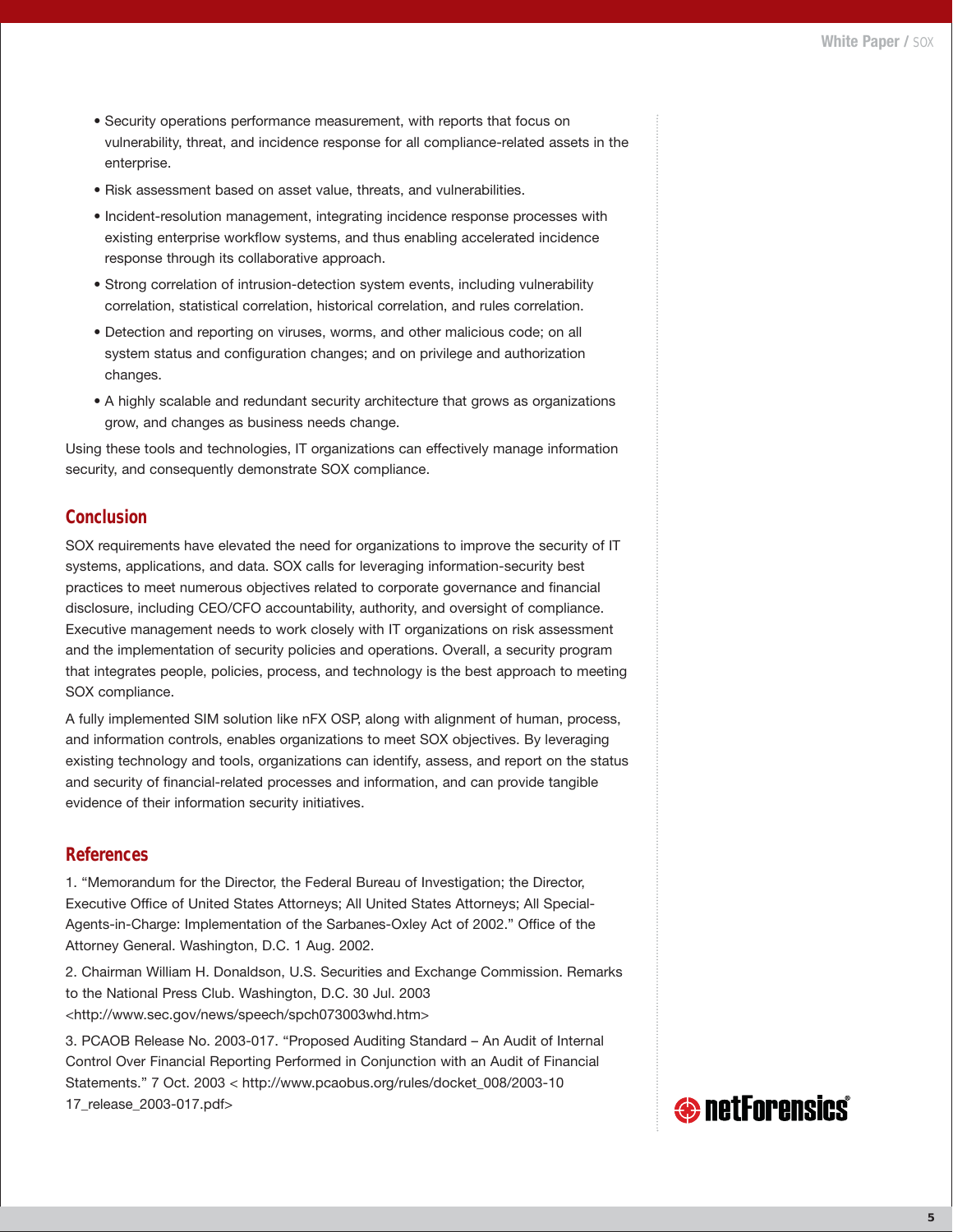- Security operations performance measurement, with reports that focus on vulnerability, threat, and incidence response for all compliance-related assets in the enterprise.
- Risk assessment based on asset value, threats, and vulnerabilities.
- Incident-resolution management, integrating incidence response processes with existing enterprise workflow systems, and thus enabling accelerated incidence response through its collaborative approach.
- Strong correlation of intrusion-detection system events, including vulnerability correlation, statistical correlation, historical correlation, and rules correlation.
- Detection and reporting on viruses, worms, and other malicious code; on all system status and configuration changes; and on privilege and authorization changes.
- A highly scalable and redundant security architecture that grows as organizations grow, and changes as business needs change.

Using these tools and technologies, IT organizations can effectively manage information security, and consequently demonstrate SOX compliance.

# **Conclusion**

SOX requirements have elevated the need for organizations to improve the security of IT systems, applications, and data. SOX calls for leveraging information-security best practices to meet numerous objectives related to corporate governance and financial disclosure, including CEO/CFO accountability, authority, and oversight of compliance. Executive management needs to work closely with IT organizations on risk assessment and the implementation of security policies and operations. Overall, a security program that integrates people, policies, process, and technology is the best approach to meeting SOX compliance.

A fully implemented SIM solution like nFX OSP, along with alignment of human, process, and information controls, enables organizations to meet SOX objectives. By leveraging existing technology and tools, organizations can identify, assess, and report on the status and security of financial-related processes and information, and can provide tangible evidence of their information security initiatives.

# **References**

1. "Memorandum for the Director, the Federal Bureau of Investigation; the Director, Executive Office of United States Attorneys; All United States Attorneys; All Special-Agents-in-Charge: Implementation of the Sarbanes-Oxley Act of 2002." Office of the Attorney General. Washington, D.C. 1 Aug. 2002.

2. Chairman William H. Donaldson, U.S. Securities and Exchange Commission. Remarks to the National Press Club. Washington, D.C. 30 Jul. 2003 <http://www.sec.gov/news/speech/spch073003whd.htm>

3. PCAOB Release No. 2003-017. "Proposed Auditing Standard – An Audit of Internal Control Over Financial Reporting Performed in Conjunction with an Audit of Financial Statements." 7 Oct. 2003 < http://www.pcaobus.org/rules/docket\_008/2003-10 17\_release\_2003-017.pdf>